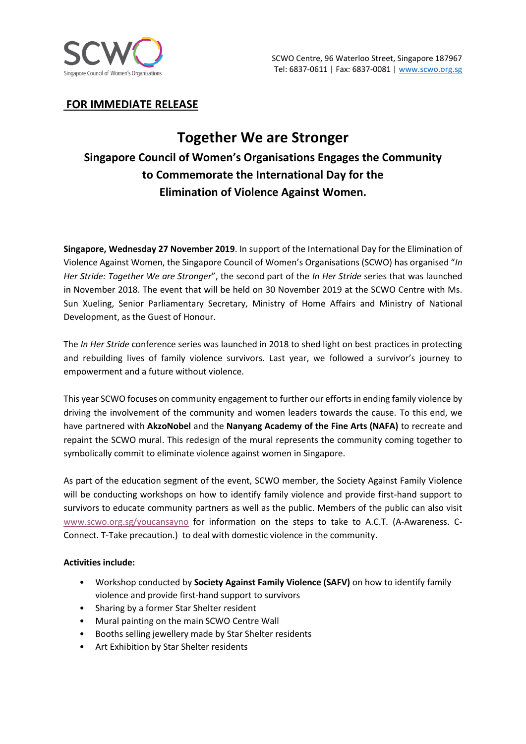

# **FOR IMMEDIATE RELEASE**

# **Together We are Stronger Singapore Council of Women's Organisations Engages the Community to Commemorate the International Day for the Elimination of Violence Against Women.**

**Singapore, Wednesday 27 November 2019**. In support of the International Day for the Elimination of Violence Against Women, the Singapore Council of Women's Organisations (SCWO) has organised "*In Her Stride: Together We are Stronger*", the second part of the *In Her Stride* series that was launched in November 2018. The event that will be held on 30 November 2019 at the SCWO Centre with Ms. Sun Xueling, Senior Parliamentary Secretary, Ministry of Home Affairs and Ministry of National Development, as the Guest of Honour.

The *In Her Stride* conference series was launched in 2018 to shed light on best practices in protecting and rebuilding lives of family violence survivors. Last year, we followed a survivor's journey to empowerment and a future without violence.

This year SCWO focuses on community engagement to further our efforts in ending family violence by driving the involvement of the community and women leaders towards the cause. To this end, we have partnered with **AkzoNobel** and the **Nanyang Academy of the Fine Arts (NAFA)** to recreate and repaint the SCWO mural. This redesign of the mural represents the community coming together to symbolically commit to eliminate violence against women in Singapore.

As part of the education segment of the event, SCWO member, the Society Against Family Violence will be conducting workshops on how to identify family violence and provide first-hand support to survivors to educate community partners as well as the public. Members of the public can also visit [www.scwo.org.sg/youcansayno](http://www.scwo.org.sg/youcansayno) for information on the steps to take to A.C.T. (A-Awareness. C-Connect. T-Take precaution.) to deal with domestic violence in the community.

# **Activities include:**

- Workshop conducted by **Society Against Family Violence (SAFV)** on how to identify family violence and provide first-hand support to survivors
- Sharing by a former Star Shelter resident
- Mural painting on the main SCWO Centre Wall
- Booths selling jewellery made by Star Shelter residents
- Art Exhibition by Star Shelter residents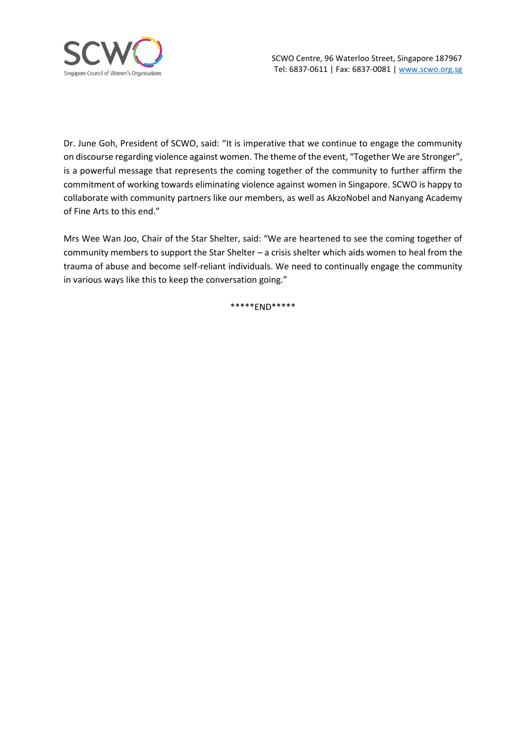

Dr. June Goh, President of SCWO, said: "It is imperative that we continue to engage the community on discourse regarding violence against women. The theme of the event, "Together We are Stronger", is a powerful message that represents the coming together of the community to further affirm the commitment of working towards eliminating violence against women in Singapore. SCWO is happy to collaborate with community partners like our members, as well as AkzoNobel and Nanyang Academy of Fine Arts to this end."

Mrs Wee Wan Joo, Chair of the Star Shelter, said: "We are heartened to see the coming together of community members to support the Star Shelter – a crisis shelter which aids women to heal from the trauma of abuse and become self-reliant individuals. We need to continually engage the community in various ways like this to keep the conversation going."

\*\*\*\*\*END\*\*\*\*\*